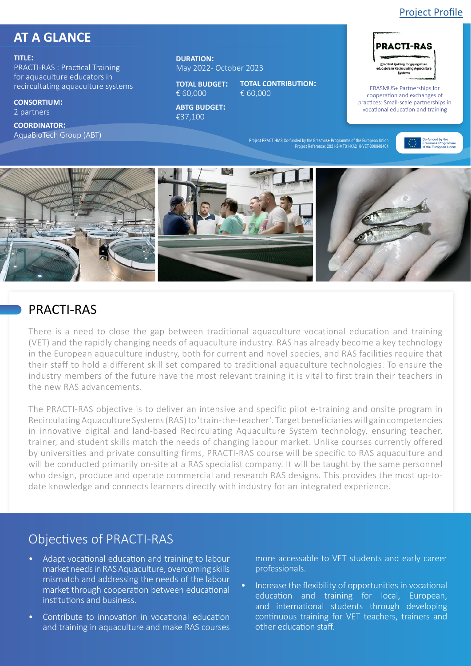#### [Project Profile](https://erasmus-plus.ec.europa.eu/projects/search/details/2021-2-MT01-KA210-VET-000048404)

# **AT A GLANCE**

#### **TITLE:**

PRACTI-RAS : Practical Training for aquaculture educators in recircultating aquaculture systems

**CONSORTIUM:**  2 partners

**COORDINATOR:**  AquaBioTech Group (ABT) **DURATION:**  May 2022- October 2023

**TOTAL BUDGET:**  € 60,000

**TOTAL CONTRIBUTION:**  € 60,000

**ABTG BUDGET:**  €37,100



**PRACTI-RAS** 

ERASMUS+ Partnerships for cooperation and exchanges of practices: Small-scale partnerships in vocational education and training

Project PRACTI-RAS Co-funded by the Erasmus+ Programme of the European Union Project Reference: 2021-2-MT01-KA210-VET-000048404



## PRACTI-RAS

There is a need to close the gap between traditional aquaculture vocational education and training (VET) and the rapidly changing needs of aquaculture industry. RAS has already become a key technology in the European aquaculture industry, both for current and novel species, and RAS facilities require that their staff to hold a different skill set compared to traditional aquaculture technologies. To ensure the industry members of the future have the most relevant training it is vital to first train their teachers in the new RAS advancements.

The PRACTI-RAS objective is to deliver an intensive and specific pilot e-training and onsite program in Recirculating Aquaculture Systems (RAS) to 'train-the-teacher'. Target beneficiaries will gain competencies in innovative digital and land-based Recirculating Aquaculture System technology, ensuring teacher, trainer, and student skills match the needs of changing labour market. Unlike courses currently offered by universities and private consulting firms, PRACTI-RAS course will be specific to RAS aquaculture and will be conducted primarily on-site at a RAS specialist company. It will be taught by the same personnel who design, produce and operate commercial and research RAS designs. This provides the most up-todate knowledge and connects learners directly with industry for an integrated experience.

# Objectives of PRACTI-RAS

- Adapt vocational education and training to labour market needs in RAS Aquaculture, overcoming skills mismatch and addressing the needs of the labour market through cooperation between educational institutions and business.
- Contribute to innovation in vocational education and training in aquaculture and make RAS courses

more accessable to VET students and early career professionals.

• Increase the flexibility of opportunities in vocational education and training for local, European, and international students through developing continuous training for VET teachers, trainers and other education staff.